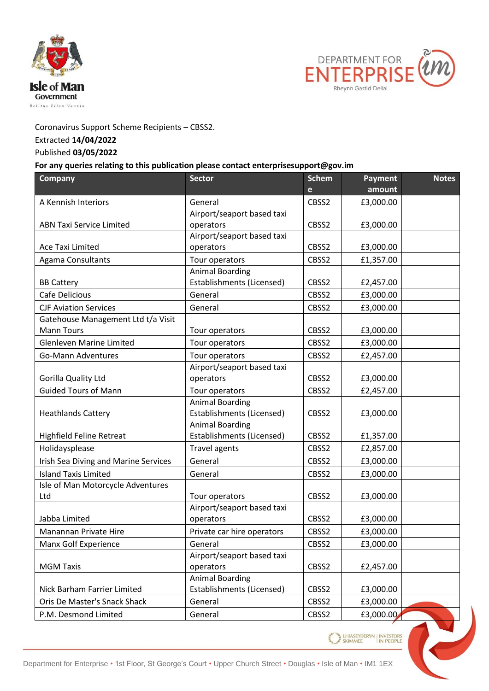



## Coronavirus Support Scheme Recipients – CBSS2.

## Extracted **14/04/2022**

## Published **03/05/2022**

## **For any queries relating to this publication please contact enterprisesupport@gov.im**

| <b>Company</b>                                  | <b>Sector</b>              | <b>Schem</b> | Payment   | <b>Notes</b> |  |
|-------------------------------------------------|----------------------------|--------------|-----------|--------------|--|
|                                                 |                            | $\mathbf{e}$ | amount    |              |  |
| A Kennish Interiors                             | General                    | CBSS2        | £3,000.00 |              |  |
|                                                 | Airport/seaport based taxi |              |           |              |  |
| <b>ABN Taxi Service Limited</b>                 | operators                  | CBSS2        | £3,000.00 |              |  |
|                                                 | Airport/seaport based taxi |              |           |              |  |
| <b>Ace Taxi Limited</b>                         | operators                  | CBSS2        | £3,000.00 |              |  |
| <b>Agama Consultants</b>                        | Tour operators             | CBSS2        | £1,357.00 |              |  |
|                                                 | <b>Animal Boarding</b>     |              |           |              |  |
| <b>BB Cattery</b>                               | Establishments (Licensed)  | CBSS2        | £2,457.00 |              |  |
| Cafe Delicious                                  | General                    | CBSS2        | £3,000.00 |              |  |
| <b>CJF Aviation Services</b>                    | General                    | CBSS2        | £3,000.00 |              |  |
| Gatehouse Management Ltd t/a Visit              |                            |              |           |              |  |
| <b>Mann Tours</b>                               | Tour operators             | CBSS2        | £3,000.00 |              |  |
| <b>Glenleven Marine Limited</b>                 | Tour operators             | CBSS2        | £3,000.00 |              |  |
| <b>Go-Mann Adventures</b>                       | Tour operators             | CBSS2        | £2,457.00 |              |  |
|                                                 | Airport/seaport based taxi |              |           |              |  |
| Gorilla Quality Ltd                             | operators                  | CBSS2        | £3,000.00 |              |  |
| <b>Guided Tours of Mann</b>                     | Tour operators             | CBSS2        | £2,457.00 |              |  |
|                                                 | <b>Animal Boarding</b>     |              |           |              |  |
| <b>Heathlands Cattery</b>                       | Establishments (Licensed)  | CBSS2        | £3,000.00 |              |  |
|                                                 | <b>Animal Boarding</b>     |              |           |              |  |
| <b>Highfield Feline Retreat</b>                 | Establishments (Licensed)  | CBSS2        | £1,357.00 |              |  |
| Holidaysplease                                  | <b>Travel agents</b>       | CBSS2        | £2,857.00 |              |  |
| Irish Sea Diving and Marine Services            | General                    | CBSS2        | £3,000.00 |              |  |
| <b>Island Taxis Limited</b>                     | General                    | CBSS2        | £3,000.00 |              |  |
| Isle of Man Motorcycle Adventures               |                            |              |           |              |  |
| Ltd                                             | Tour operators             | CBSS2        | £3,000.00 |              |  |
|                                                 | Airport/seaport based taxi |              |           |              |  |
| Jabba Limited                                   | operators                  | CBSS2        | £3,000.00 |              |  |
| Manannan Private Hire                           | Private car hire operators | CBSS2        | £3,000.00 |              |  |
| Manx Golf Experience                            | General                    | CBSS2        | £3,000.00 |              |  |
|                                                 | Airport/seaport based taxi |              |           |              |  |
| <b>MGM Taxis</b>                                | operators                  | CBSS2        | £2,457.00 |              |  |
|                                                 | <b>Animal Boarding</b>     |              |           |              |  |
| Nick Barham Farrier Limited                     | Establishments (Licensed)  | CBSS2        | £3,000.00 |              |  |
| Oris De Master's Snack Shack                    | General                    | CBSS2        | £3,000.00 |              |  |
| P.M. Desmond Limited                            | General                    | CBSS2        | £3,000.00 |              |  |
|                                                 |                            |              |           |              |  |
| LHIASEYDERYN   INVESTORS<br>SKIMMEE   IN PEOPLE |                            |              |           |              |  |
|                                                 |                            |              |           |              |  |
|                                                 |                            |              |           |              |  |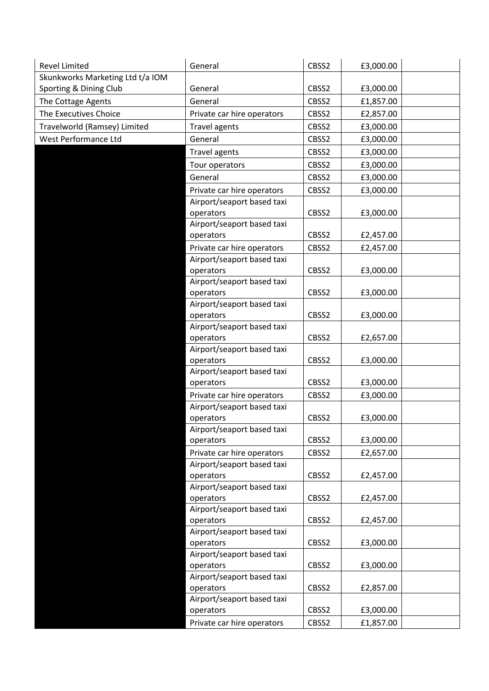| <b>Revel Limited</b>             | General                                                  | CBSS2 | £3,000.00 |  |
|----------------------------------|----------------------------------------------------------|-------|-----------|--|
| Skunkworks Marketing Ltd t/a IOM |                                                          |       |           |  |
| Sporting & Dining Club           | General                                                  | CBSS2 | £3,000.00 |  |
| The Cottage Agents               | General                                                  | CBSS2 | £1,857.00 |  |
| The Executives Choice            | Private car hire operators                               | CBSS2 | £2,857.00 |  |
| Travelworld (Ramsey) Limited     | <b>Travel agents</b>                                     | CBSS2 | £3,000.00 |  |
| West Performance Ltd             | General                                                  | CBSS2 | £3,000.00 |  |
|                                  | <b>Travel agents</b>                                     | CBSS2 | £3,000.00 |  |
|                                  | Tour operators                                           | CBSS2 | £3,000.00 |  |
|                                  | General                                                  | CBSS2 | £3,000.00 |  |
|                                  | Private car hire operators                               | CBSS2 | £3,000.00 |  |
|                                  | Airport/seaport based taxi                               |       |           |  |
|                                  | operators                                                | CBSS2 | £3,000.00 |  |
|                                  | Airport/seaport based taxi                               |       |           |  |
|                                  | operators                                                | CBSS2 | £2,457.00 |  |
|                                  | Private car hire operators                               | CBSS2 | £2,457.00 |  |
|                                  | Airport/seaport based taxi                               |       |           |  |
|                                  | operators                                                | CBSS2 | £3,000.00 |  |
|                                  | Airport/seaport based taxi                               |       |           |  |
|                                  | operators                                                | CBSS2 | £3,000.00 |  |
|                                  | Airport/seaport based taxi                               |       |           |  |
|                                  | operators                                                | CBSS2 | £3,000.00 |  |
|                                  | Airport/seaport based taxi                               |       |           |  |
|                                  | operators                                                | CBSS2 | £2,657.00 |  |
|                                  | Airport/seaport based taxi                               |       |           |  |
|                                  | operators                                                | CBSS2 | £3,000.00 |  |
|                                  | Airport/seaport based taxi                               |       |           |  |
|                                  | operators                                                | CBSS2 | £3,000.00 |  |
|                                  | Private car hire operators                               | CBSS2 | £3,000.00 |  |
|                                  | Airport/seaport based taxi                               |       |           |  |
|                                  | operators                                                | CBSS2 | £3,000.00 |  |
|                                  | Airport/seaport based taxi<br>operators                  | CBSS2 | £3,000.00 |  |
|                                  |                                                          |       |           |  |
|                                  | Private car hire operators<br>Airport/seaport based taxi | CBSS2 | £2,657.00 |  |
|                                  | operators                                                | CBSS2 | £2,457.00 |  |
|                                  | Airport/seaport based taxi                               |       |           |  |
|                                  | operators                                                | CBSS2 | £2,457.00 |  |
|                                  | Airport/seaport based taxi                               |       |           |  |
|                                  | operators                                                | CBSS2 | £2,457.00 |  |
|                                  | Airport/seaport based taxi                               |       |           |  |
|                                  | operators                                                | CBSS2 | £3,000.00 |  |
|                                  | Airport/seaport based taxi                               |       |           |  |
|                                  | operators                                                | CBSS2 | £3,000.00 |  |
|                                  | Airport/seaport based taxi                               |       |           |  |
|                                  | operators                                                | CBSS2 | £2,857.00 |  |
|                                  | Airport/seaport based taxi                               |       |           |  |
|                                  | operators                                                | CBSS2 | £3,000.00 |  |
|                                  | Private car hire operators                               | CBSS2 | £1,857.00 |  |